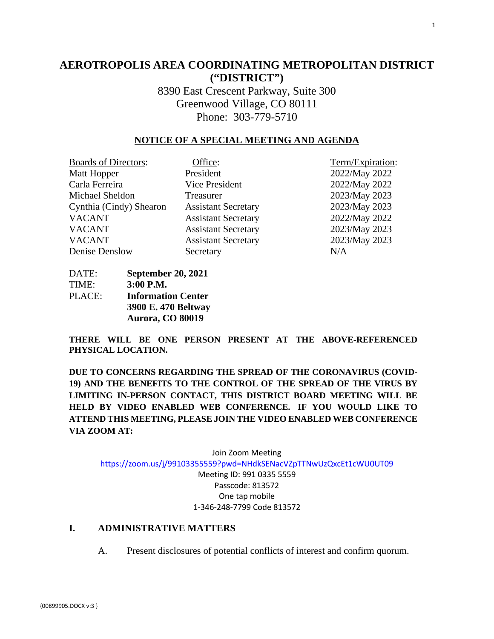# **AEROTROPOLIS AREA COORDINATING METROPOLITAN DISTRICT ("DISTRICT")**

8390 East Crescent Parkway, Suite 300 Greenwood Village, CO 80111 Phone: 303-779-5710

## **NOTICE OF A SPECIAL MEETING AND AGENDA**

| <b>Boards of Directors:</b> | Office:                    | Term/Expiration: |
|-----------------------------|----------------------------|------------------|
| Matt Hopper                 | President                  | 2022/May 2022    |
| Carla Ferreira              | Vice President             | 2022/May 2022    |
| Michael Sheldon             | Treasurer                  | 2023/May 2023    |
| Cynthia (Cindy) Shearon     | <b>Assistant Secretary</b> | 2023/May 2023    |
| <b>VACANT</b>               | <b>Assistant Secretary</b> | 2022/May 2022    |
| <b>VACANT</b>               | <b>Assistant Secretary</b> | 2023/May 2023    |
| <b>VACANT</b>               | <b>Assistant Secretary</b> | 2023/May 2023    |
| Denise Denslow              | Secretary                  | N/A              |
|                             |                            |                  |

DATE: **September 20, 2021** TIME: **3:00 P.M.** PLACE: **Information Center 3900 E. 470 Beltway Aurora, CO 80019** 

**THERE WILL BE ONE PERSON PRESENT AT THE ABOVE-REFERENCED PHYSICAL LOCATION.**

**DUE TO CONCERNS REGARDING THE SPREAD OF THE CORONAVIRUS (COVID-19) AND THE BENEFITS TO THE CONTROL OF THE SPREAD OF THE VIRUS BY LIMITING IN-PERSON CONTACT, THIS DISTRICT BOARD MEETING WILL BE HELD BY VIDEO ENABLED WEB CONFERENCE. IF YOU WOULD LIKE TO ATTEND THIS MEETING, PLEASE JOIN THE VIDEO ENABLED WEB CONFERENCE VIA ZOOM AT:**

Join Zoom Meeting <https://zoom.us/j/99103355559?pwd=NHdkSENacVZpTTNwUzQxcEt1cWU0UT09> Meeting ID: 991 0335 5559 Passcode: 813572 One tap mobile 1-346-248-7799 Code 813572

## **I. ADMINISTRATIVE MATTERS**

A. Present disclosures of potential conflicts of interest and confirm quorum.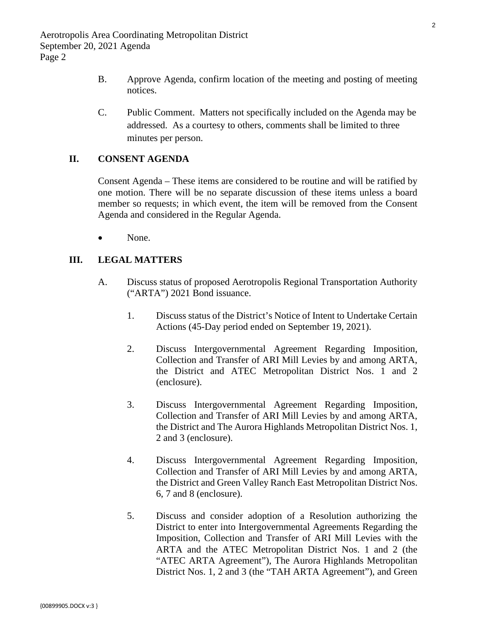- B. Approve Agenda, confirm location of the meeting and posting of meeting notices.
- C. Public Comment. Matters not specifically included on the Agenda may be addressed. As a courtesy to others, comments shall be limited to three minutes per person.

## **II. CONSENT AGENDA**

Consent Agenda – These items are considered to be routine and will be ratified by one motion. There will be no separate discussion of these items unless a board member so requests; in which event, the item will be removed from the Consent Agenda and considered in the Regular Agenda.

None.

### **III. LEGAL MATTERS**

- A. Discuss status of proposed Aerotropolis Regional Transportation Authority ("ARTA") 2021 Bond issuance.
	- 1. Discuss status of the District's Notice of Intent to Undertake Certain Actions (45-Day period ended on September 19, 2021).
	- 2. Discuss Intergovernmental Agreement Regarding Imposition, [Collection and Transfer of ARI Mill Levies by and among ARTA,](#page-3-0)  the District and ATEC Metropolitan District Nos. 1 and 2 (enclosure).
	- 3. Discuss Intergovernmental Agreement Regarding Imposition, [Collection and Transfer of ARI Mill Levies by and among ARTA,](#page-12-0)  the District and The Aurora Highlands Metropolitan District Nos. 1, 2 and 3 (enclosure).
	- 4. Discuss Intergovernmental Agreement Regarding Imposition, [Collection and Transfer of ARI Mill Levies by and among ARTA,](#page-22-0)  the District and Green Valley Ranch East Metropolitan District Nos. 6, 7 and 8 (enclosure).
	- 5. Discuss and consider adoption of a Resolution authorizing the District to enter into Intergovernmental Agreements Regarding the Imposition, Collection and Transfer of ARI Mill Levies with the ARTA and the ATEC Metropolitan District Nos. 1 and 2 (the "ATEC ARTA Agreement"), The Aurora Highlands Metropolitan District Nos. 1, 2 and 3 (the "TAH ARTA Agreement"), and Green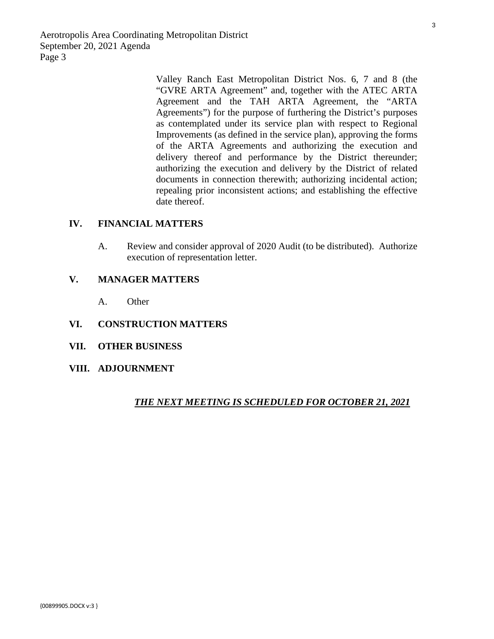Aerotropolis Area Coordinating Metropolitan District September 20, 2021 Agenda Page 3

Valley Ranch East Metropolitan District Nos. 6, 7 and 8 (the "GVRE ARTA Agreement" and, together with the ATEC ARTA Agreement and the TAH ARTA Agreement, the "ARTA Agreements") for the purpose of furthering the District's purposes as contemplated under its service plan with respect to Regional Improvements (as defined in the service plan), approving the forms of the ARTA Agreements and authorizing the execution and delivery thereof and performance by the District thereunder; authorizing the execution and delivery by the District of related documents in connection therewith; authorizing incidental action; repealing prior inconsistent actions; and establishing the effective date thereof.

## **IV. FINANCIAL MATTERS**

A. Review and consider approval of 2020 Audit (to be distributed). Authorize execution of representation letter.

## **V. MANAGER MATTERS**

- A. Other
- **VI. CONSTRUCTION MATTERS**
- **VII. OTHER BUSINESS**
- **VIII. ADJOURNMENT**

#### *THE NEXT MEETING IS SCHEDULED FOR OCTOBER 21, 2021*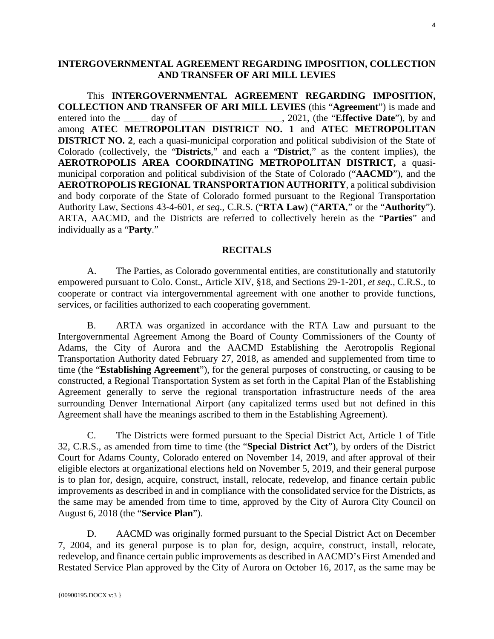## <span id="page-3-0"></span>**INTERGOVERNMENTAL AGREEMENT REGARDING IMPOSITION, COLLECTION AND TRANSFER OF ARI MILL LEVIES**

This **INTERGOVERNMENTAL AGREEMENT REGARDING IMPOSITION, COLLECTION AND TRANSFER OF ARI MILL LEVIES** (this "**Agreement**") is made and entered into the day of day of the state of antiamong **ATEC METROPOLITAN DISTRICT NO. 1** and **ATEC METROPOLITAN DISTRICT NO. 2**, each a quasi-municipal corporation and political subdivision of the State of Colorado (collectively, the "**Districts**," and each a "**District**," as the content implies), the **AEROTROPOLIS AREA COORDINATING METROPOLITAN DISTRICT,** a quasimunicipal corporation and political subdivision of the State of Colorado ("**AACMD**"), and the **AEROTROPOLIS REGIONAL TRANSPORTATION AUTHORITY**, a political subdivision and body corporate of the State of Colorado formed pursuant to the Regional Transportation Authority Law, Sections 43-4-601, *et seq*., C.R.S. ("**RTA Law**) ("**ARTA**," or the "**Authority**"). ARTA, AACMD, and the Districts are referred to collectively herein as the "**Parties**" and individually as a "**Party**."

#### **RECITALS**

A. The Parties, as Colorado governmental entities, are constitutionally and statutorily empowered pursuant to Colo. Const., Article XIV, §18, and Sections 29-1-201, *et seq.*, C.R.S., to cooperate or contract via intergovernmental agreement with one another to provide functions, services, or facilities authorized to each cooperating government.

B. ARTA was organized in accordance with the RTA Law and pursuant to the Intergovernmental Agreement Among the Board of County Commissioners of the County of Adams, the City of Aurora and the AACMD Establishing the Aerotropolis Regional Transportation Authority dated February 27, 2018, as amended and supplemented from time to time (the "**Establishing Agreement**"), for the general purposes of constructing, or causing to be constructed, a Regional Transportation System as set forth in the Capital Plan of the Establishing Agreement generally to serve the regional transportation infrastructure needs of the area surrounding Denver International Airport (any capitalized terms used but not defined in this Agreement shall have the meanings ascribed to them in the Establishing Agreement).

C. The Districts were formed pursuant to the Special District Act, Article 1 of Title 32, C.R.S., as amended from time to time (the "**Special District Act**"), by orders of the District Court for Adams County, Colorado entered on November 14, 2019, and after approval of their eligible electors at organizational elections held on November 5, 2019, and their general purpose is to plan for, design, acquire, construct, install, relocate, redevelop, and finance certain public improvements as described in and in compliance with the consolidated service for the Districts, as the same may be amended from time to time, approved by the City of Aurora City Council on August 6, 2018 (the "**Service Plan**").

D. AACMD was originally formed pursuant to the Special District Act on December 7, 2004, and its general purpose is to plan for, design, acquire, construct, install, relocate, redevelop, and finance certain public improvements as described in AACMD's First Amended and Restated Service Plan approved by the City of Aurora on October 16, 2017, as the same may be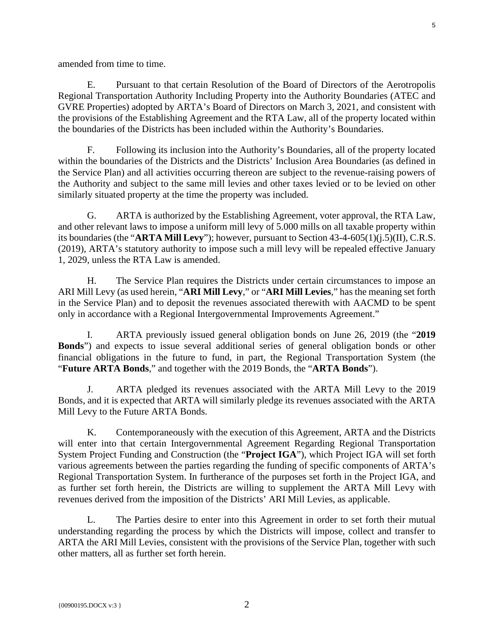amended from time to time.

E. Pursuant to that certain Resolution of the Board of Directors of the Aerotropolis Regional Transportation Authority Including Property into the Authority Boundaries (ATEC and GVRE Properties) adopted by ARTA's Board of Directors on March 3, 2021, and consistent with the provisions of the Establishing Agreement and the RTA Law, all of the property located within the boundaries of the Districts has been included within the Authority's Boundaries.

F. Following its inclusion into the Authority's Boundaries, all of the property located within the boundaries of the Districts and the Districts' Inclusion Area Boundaries (as defined in the Service Plan) and all activities occurring thereon are subject to the revenue-raising powers of the Authority and subject to the same mill levies and other taxes levied or to be levied on other similarly situated property at the time the property was included.

G. ARTA is authorized by the Establishing Agreement, voter approval, the RTA Law, and other relevant laws to impose a uniform mill levy of 5.000 mills on all taxable property within its boundaries (the "**ARTA Mill Levy**"); however, pursuant to Section 43-4-605(1)(j.5)(II), C.R.S. (2019), ARTA's statutory authority to impose such a mill levy will be repealed effective January 1, 2029, unless the RTA Law is amended.

H. The Service Plan requires the Districts under certain circumstances to impose an ARI Mill Levy (as used herein, "**ARI Mill Levy**," or "**ARI Mill Levies**," has the meaning set forth in the Service Plan) and to deposit the revenues associated therewith with AACMD to be spent only in accordance with a Regional Intergovernmental Improvements Agreement."

I. ARTA previously issued general obligation bonds on June 26, 2019 (the "**2019 Bonds**") and expects to issue several additional series of general obligation bonds or other financial obligations in the future to fund, in part, the Regional Transportation System (the "**Future ARTA Bonds**," and together with the 2019 Bonds, the "**ARTA Bonds**").

J. ARTA pledged its revenues associated with the ARTA Mill Levy to the 2019 Bonds, and it is expected that ARTA will similarly pledge its revenues associated with the ARTA Mill Levy to the Future ARTA Bonds.

K. Contemporaneously with the execution of this Agreement, ARTA and the Districts will enter into that certain Intergovernmental Agreement Regarding Regional Transportation System Project Funding and Construction (the "**Project IGA**"), which Project IGA will set forth various agreements between the parties regarding the funding of specific components of ARTA's Regional Transportation System. In furtherance of the purposes set forth in the Project IGA, and as further set forth herein, the Districts are willing to supplement the ARTA Mill Levy with revenues derived from the imposition of the Districts' ARI Mill Levies, as applicable.

L. The Parties desire to enter into this Agreement in order to set forth their mutual understanding regarding the process by which the Districts will impose, collect and transfer to ARTA the ARI Mill Levies, consistent with the provisions of the Service Plan, together with such other matters, all as further set forth herein.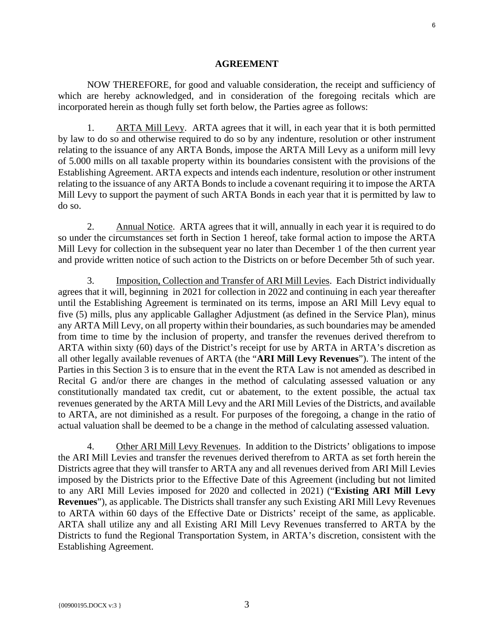#### **AGREEMENT**

NOW THEREFORE, for good and valuable consideration, the receipt and sufficiency of which are hereby acknowledged, and in consideration of the foregoing recitals which are incorporated herein as though fully set forth below, the Parties agree as follows:

1. ARTA Mill Levy. ARTA agrees that it will, in each year that it is both permitted by law to do so and otherwise required to do so by any indenture, resolution or other instrument relating to the issuance of any ARTA Bonds, impose the ARTA Mill Levy as a uniform mill levy of 5.000 mills on all taxable property within its boundaries consistent with the provisions of the Establishing Agreement. ARTA expects and intends each indenture, resolution or other instrument relating to the issuance of any ARTA Bonds to include a covenant requiring it to impose the ARTA Mill Levy to support the payment of such ARTA Bonds in each year that it is permitted by law to do so.

2. Annual Notice. ARTA agrees that it will, annually in each year it is required to do so under the circumstances set forth in Section 1 hereof, take formal action to impose the ARTA Mill Levy for collection in the subsequent year no later than December 1 of the then current year and provide written notice of such action to the Districts on or before December 5th of such year.

3. Imposition, Collection and Transfer of ARI Mill Levies. Each District individually agrees that it will, beginning in 2021 for collection in 2022 and continuing in each year thereafter until the Establishing Agreement is terminated on its terms, impose an ARI Mill Levy equal to five (5) mills, plus any applicable Gallagher Adjustment (as defined in the Service Plan), minus any ARTA Mill Levy, on all property within their boundaries, as such boundaries may be amended from time to time by the inclusion of property, and transfer the revenues derived therefrom to ARTA within sixty (60) days of the District's receipt for use by ARTA in ARTA's discretion as all other legally available revenues of ARTA (the "**ARI Mill Levy Revenues**"). The intent of the Parties in this Section 3 is to ensure that in the event the RTA Law is not amended as described in Recital G and/or there are changes in the method of calculating assessed valuation or any constitutionally mandated tax credit, cut or abatement, to the extent possible, the actual tax revenues generated by the ARTA Mill Levy and the ARI Mill Levies of the Districts, and available to ARTA, are not diminished as a result. For purposes of the foregoing, a change in the ratio of actual valuation shall be deemed to be a change in the method of calculating assessed valuation.

4. Other ARI Mill Levy Revenues. In addition to the Districts' obligations to impose the ARI Mill Levies and transfer the revenues derived therefrom to ARTA as set forth herein the Districts agree that they will transfer to ARTA any and all revenues derived from ARI Mill Levies imposed by the Districts prior to the Effective Date of this Agreement (including but not limited to any ARI Mill Levies imposed for 2020 and collected in 2021) ("**Existing ARI Mill Levy Revenues**"), as applicable. The Districts shall transfer any such Existing ARI Mill Levy Revenues to ARTA within 60 days of the Effective Date or Districts' receipt of the same, as applicable. ARTA shall utilize any and all Existing ARI Mill Levy Revenues transferred to ARTA by the Districts to fund the Regional Transportation System, in ARTA's discretion, consistent with the Establishing Agreement.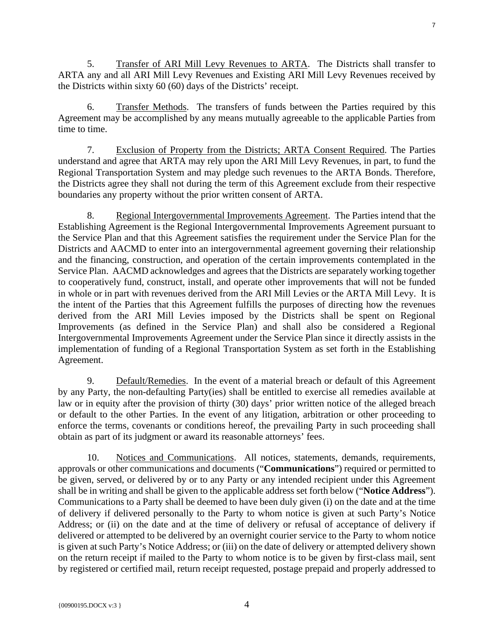5. Transfer of ARI Mill Levy Revenues to ARTA. The Districts shall transfer to ARTA any and all ARI Mill Levy Revenues and Existing ARI Mill Levy Revenues received by the Districts within sixty 60 (60) days of the Districts' receipt.

6. Transfer Methods. The transfers of funds between the Parties required by this Agreement may be accomplished by any means mutually agreeable to the applicable Parties from time to time.

7. Exclusion of Property from the Districts; ARTA Consent Required. The Parties understand and agree that ARTA may rely upon the ARI Mill Levy Revenues, in part, to fund the Regional Transportation System and may pledge such revenues to the ARTA Bonds. Therefore, the Districts agree they shall not during the term of this Agreement exclude from their respective boundaries any property without the prior written consent of ARTA.

8. Regional Intergovernmental Improvements Agreement. The Parties intend that the Establishing Agreement is the Regional Intergovernmental Improvements Agreement pursuant to the Service Plan and that this Agreement satisfies the requirement under the Service Plan for the Districts and AACMD to enter into an intergovernmental agreement governing their relationship and the financing, construction, and operation of the certain improvements contemplated in the Service Plan. AACMD acknowledges and agrees that the Districts are separately working together to cooperatively fund, construct, install, and operate other improvements that will not be funded in whole or in part with revenues derived from the ARI Mill Levies or the ARTA Mill Levy. It is the intent of the Parties that this Agreement fulfills the purposes of directing how the revenues derived from the ARI Mill Levies imposed by the Districts shall be spent on Regional Improvements (as defined in the Service Plan) and shall also be considered a Regional Intergovernmental Improvements Agreement under the Service Plan since it directly assists in the implementation of funding of a Regional Transportation System as set forth in the Establishing Agreement.

9. Default/Remedies. In the event of a material breach or default of this Agreement by any Party, the non-defaulting Party(ies) shall be entitled to exercise all remedies available at law or in equity after the provision of thirty (30) days' prior written notice of the alleged breach or default to the other Parties. In the event of any litigation, arbitration or other proceeding to enforce the terms, covenants or conditions hereof, the prevailing Party in such proceeding shall obtain as part of its judgment or award its reasonable attorneys' fees.

10. Notices and Communications. All notices, statements, demands, requirements, approvals or other communications and documents ("**Communications**") required or permitted to be given, served, or delivered by or to any Party or any intended recipient under this Agreement shall be in writing and shall be given to the applicable address set forth below ("**Notice Address**"). Communications to a Party shall be deemed to have been duly given (i) on the date and at the time of delivery if delivered personally to the Party to whom notice is given at such Party's Notice Address; or (ii) on the date and at the time of delivery or refusal of acceptance of delivery if delivered or attempted to be delivered by an overnight courier service to the Party to whom notice is given at such Party's Notice Address; or (iii) on the date of delivery or attempted delivery shown on the return receipt if mailed to the Party to whom notice is to be given by first-class mail, sent by registered or certified mail, return receipt requested, postage prepaid and properly addressed to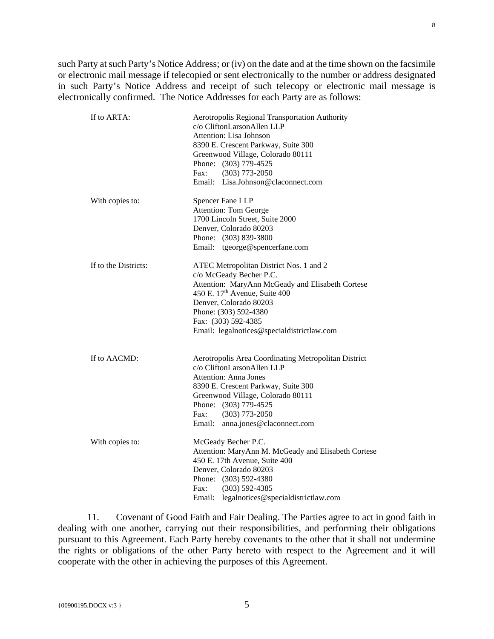such Party at such Party's Notice Address; or (iv) on the date and at the time shown on the facsimile or electronic mail message if telecopied or sent electronically to the number or address designated in such Party's Notice Address and receipt of such telecopy or electronic mail message is electronically confirmed. The Notice Addresses for each Party are as follows:

| If to ARTA:          | Aerotropolis Regional Transportation Authority<br>c/o CliftonLarsonAllen LLP<br>Attention: Lisa Johnson<br>8390 E. Crescent Parkway, Suite 300<br>Greenwood Village, Colorado 80111<br>Phone: (303) 779-4525<br>Fax:<br>$(303)$ 773-2050<br>Email: Lisa.Johnson@claconnect.com              |
|----------------------|---------------------------------------------------------------------------------------------------------------------------------------------------------------------------------------------------------------------------------------------------------------------------------------------|
| With copies to:      | Spencer Fane LLP<br><b>Attention: Tom George</b><br>1700 Lincoln Street, Suite 2000<br>Denver, Colorado 80203<br>Phone: (303) 839-3800<br>Email: tgeorge@spencerfane.com                                                                                                                    |
| If to the Districts: | ATEC Metropolitan District Nos. 1 and 2<br>c/o McGeady Becher P.C.<br>Attention: MaryAnn McGeady and Elisabeth Cortese<br>450 E. 17 <sup>th</sup> Avenue, Suite 400<br>Denver, Colorado 80203<br>Phone: (303) 592-4380<br>Fax: (303) 592-4385<br>Email: legalnotices@specialdistrictlaw.com |
| If to AACMD:         | Aerotropolis Area Coordinating Metropolitan District<br>c/o CliftonLarsonAllen LLP<br><b>Attention: Anna Jones</b><br>8390 E. Crescent Parkway, Suite 300<br>Greenwood Village, Colorado 80111<br>Phone: (303) 779-4525<br>Fax:<br>$(303)$ 773-2050<br>Email: anna.jones@claconnect.com     |
| With copies to:      | McGeady Becher P.C.<br>Attention: MaryAnn M. McGeady and Elisabeth Cortese<br>450 E. 17th Avenue, Suite 400<br>Denver, Colorado 80203<br>Phone: (303) 592-4380<br>Fax:<br>$(303)$ 592-4385<br>Email: legalnotices@specialdistrictlaw.com                                                    |

11. Covenant of Good Faith and Fair Dealing. The Parties agree to act in good faith in dealing with one another, carrying out their responsibilities, and performing their obligations pursuant to this Agreement. Each Party hereby covenants to the other that it shall not undermine the rights or obligations of the other Party hereto with respect to the Agreement and it will cooperate with the other in achieving the purposes of this Agreement.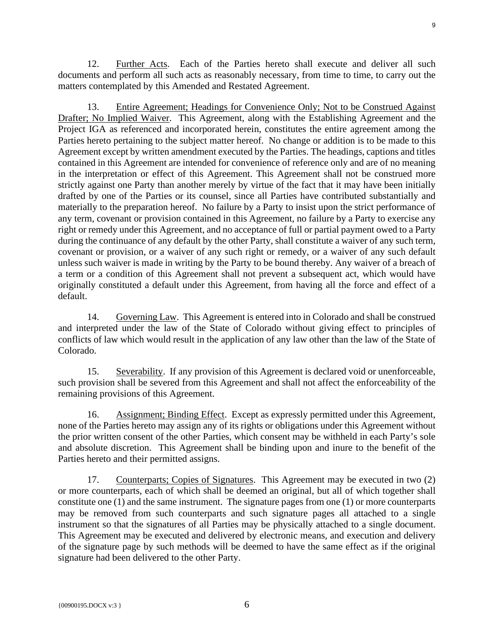12. Further Acts. Each of the Parties hereto shall execute and deliver all such documents and perform all such acts as reasonably necessary, from time to time, to carry out the matters contemplated by this Amended and Restated Agreement.

13. Entire Agreement; Headings for Convenience Only; Not to be Construed Against Drafter; No Implied Waiver. This Agreement, along with the Establishing Agreement and the Project IGA as referenced and incorporated herein, constitutes the entire agreement among the Parties hereto pertaining to the subject matter hereof. No change or addition is to be made to this Agreement except by written amendment executed by the Parties. The headings, captions and titles contained in this Agreement are intended for convenience of reference only and are of no meaning in the interpretation or effect of this Agreement. This Agreement shall not be construed more strictly against one Party than another merely by virtue of the fact that it may have been initially drafted by one of the Parties or its counsel, since all Parties have contributed substantially and materially to the preparation hereof. No failure by a Party to insist upon the strict performance of any term, covenant or provision contained in this Agreement, no failure by a Party to exercise any right or remedy under this Agreement, and no acceptance of full or partial payment owed to a Party during the continuance of any default by the other Party, shall constitute a waiver of any such term, covenant or provision, or a waiver of any such right or remedy, or a waiver of any such default unless such waiver is made in writing by the Party to be bound thereby. Any waiver of a breach of a term or a condition of this Agreement shall not prevent a subsequent act, which would have originally constituted a default under this Agreement, from having all the force and effect of a default.

14. Governing Law. This Agreement is entered into in Colorado and shall be construed and interpreted under the law of the State of Colorado without giving effect to principles of conflicts of law which would result in the application of any law other than the law of the State of Colorado.

15. Severability. If any provision of this Agreement is declared void or unenforceable, such provision shall be severed from this Agreement and shall not affect the enforceability of the remaining provisions of this Agreement.

16. Assignment; Binding Effect. Except as expressly permitted under this Agreement, none of the Parties hereto may assign any of its rights or obligations under this Agreement without the prior written consent of the other Parties, which consent may be withheld in each Party's sole and absolute discretion. This Agreement shall be binding upon and inure to the benefit of the Parties hereto and their permitted assigns.

17. Counterparts; Copies of Signatures. This Agreement may be executed in two (2) or more counterparts, each of which shall be deemed an original, but all of which together shall constitute one (1) and the same instrument. The signature pages from one (1) or more counterparts may be removed from such counterparts and such signature pages all attached to a single instrument so that the signatures of all Parties may be physically attached to a single document. This Agreement may be executed and delivered by electronic means, and execution and delivery of the signature page by such methods will be deemed to have the same effect as if the original signature had been delivered to the other Party.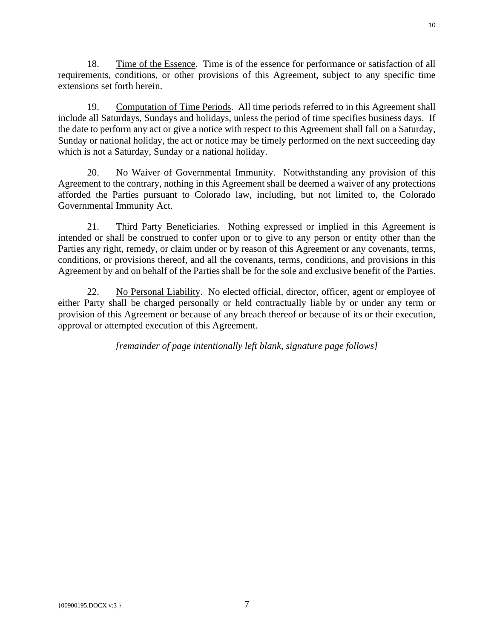18. Time of the Essence. Time is of the essence for performance or satisfaction of all requirements, conditions, or other provisions of this Agreement, subject to any specific time extensions set forth herein.

19. Computation of Time Periods. All time periods referred to in this Agreement shall include all Saturdays, Sundays and holidays, unless the period of time specifies business days. If the date to perform any act or give a notice with respect to this Agreement shall fall on a Saturday, Sunday or national holiday, the act or notice may be timely performed on the next succeeding day which is not a Saturday, Sunday or a national holiday.

20. No Waiver of Governmental Immunity. Notwithstanding any provision of this Agreement to the contrary, nothing in this Agreement shall be deemed a waiver of any protections afforded the Parties pursuant to Colorado law, including, but not limited to, the Colorado Governmental Immunity Act.

21. Third Party Beneficiaries. Nothing expressed or implied in this Agreement is intended or shall be construed to confer upon or to give to any person or entity other than the Parties any right, remedy, or claim under or by reason of this Agreement or any covenants, terms, conditions, or provisions thereof, and all the covenants, terms, conditions, and provisions in this Agreement by and on behalf of the Parties shall be for the sole and exclusive benefit of the Parties.

22. No Personal Liability. No elected official, director, officer, agent or employee of either Party shall be charged personally or held contractually liable by or under any term or provision of this Agreement or because of any breach thereof or because of its or their execution, approval or attempted execution of this Agreement.

*[remainder of page intentionally left blank, signature page follows]*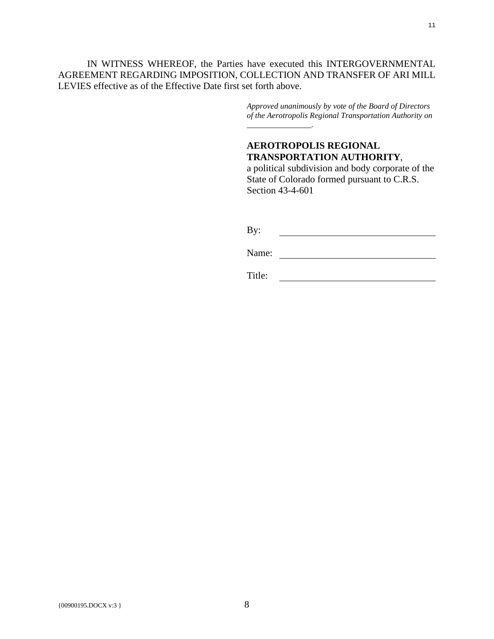IN WITNESS WHEREOF, the Parties have executed this INTERGOVERNMENTAL AGREEMENT REGARDING IMPOSITION, COLLECTION AND TRANSFER OF ARI MILL LEVIES effective as of the Effective Date first set forth above.

> *Approved unanimously by vote of the Board of Directors of the Aerotropolis Regional Transportation Authority on \_\_\_\_\_\_\_\_\_\_\_\_\_\_\_\_.*

# **AEROTROPOLIS REGIONAL TRANSPORTATION AUTHORITY**,

a political subdivision and body corporate of the State of Colorado formed pursuant to C.R.S. Section 43-4-601

By: <u> 1980 - Johann Barbara, martxa alemaniar a</u>

Name: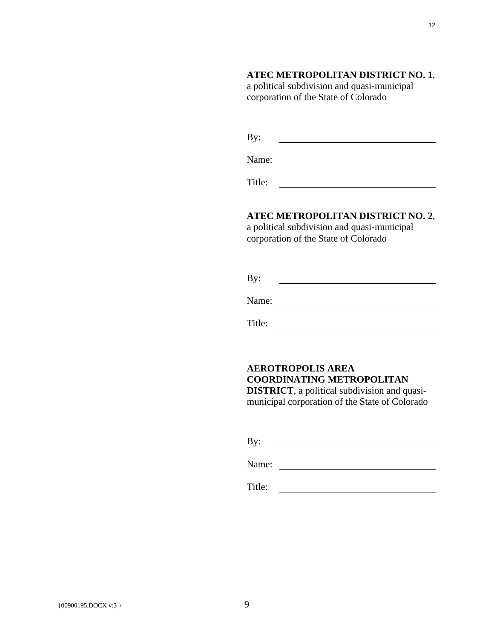## **ATEC METROPOLITAN DISTRICT NO. 1**,

a political subdivision and quasi-municipal corporation of the State of Colorado

Name:

Title: <u> 1989 - Johann Barbara, martin amerikan per</u>

#### **ATEC METROPOLITAN DISTRICT NO. 2**,

a political subdivision and quasi-municipal corporation of the State of Colorado

By: 

Name:

Title:

# **AEROTROPOLIS AREA COORDINATING METROPOLITAN**

**DISTRICT**, a political subdivision and quasimunicipal corporation of the State of Colorado

By: 

Name: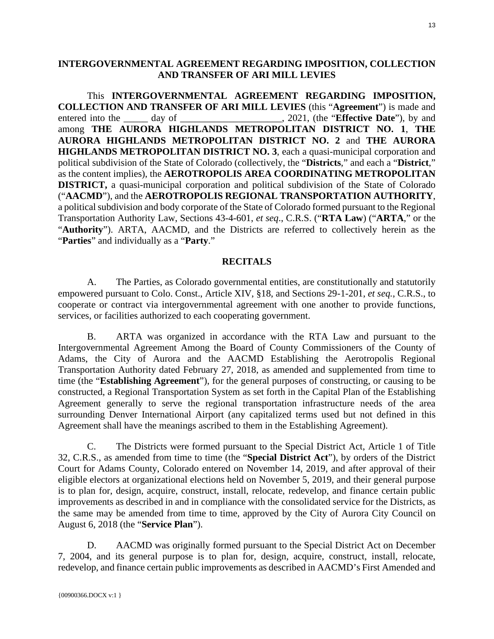## <span id="page-12-0"></span>**INTERGOVERNMENTAL AGREEMENT REGARDING IMPOSITION, COLLECTION AND TRANSFER OF ARI MILL LEVIES**

This **INTERGOVERNMENTAL AGREEMENT REGARDING IMPOSITION, COLLECTION AND TRANSFER OF ARI MILL LEVIES** (this "**Agreement**") is made and entered into the day of day of the state of antiamong **THE AURORA HIGHLANDS METROPOLITAN DISTRICT NO. 1**, **THE AURORA HIGHLANDS METROPOLITAN DISTRICT NO. 2** and **THE AURORA HIGHLANDS METROPOLITAN DISTRICT NO. 3**, each a quasi-municipal corporation and political subdivision of the State of Colorado (collectively, the "**Districts**," and each a "**District**," as the content implies), the **AEROTROPOLIS AREA COORDINATING METROPOLITAN DISTRICT,** a quasi-municipal corporation and political subdivision of the State of Colorado ("**AACMD**"), and the **AEROTROPOLIS REGIONAL TRANSPORTATION AUTHORITY**, a political subdivision and body corporate of the State of Colorado formed pursuant to the Regional Transportation Authority Law, Sections 43-4-601, *et seq*., C.R.S. ("**RTA Law**) ("**ARTA**," or the "**Authority**"). ARTA, AACMD, and the Districts are referred to collectively herein as the "**Parties**" and individually as a "**Party**."

#### **RECITALS**

A. The Parties, as Colorado governmental entities, are constitutionally and statutorily empowered pursuant to Colo. Const., Article XIV, §18, and Sections 29-1-201, *et seq.*, C.R.S., to cooperate or contract via intergovernmental agreement with one another to provide functions, services, or facilities authorized to each cooperating government.

B. ARTA was organized in accordance with the RTA Law and pursuant to the Intergovernmental Agreement Among the Board of County Commissioners of the County of Adams, the City of Aurora and the AACMD Establishing the Aerotropolis Regional Transportation Authority dated February 27, 2018, as amended and supplemented from time to time (the "**Establishing Agreement**"), for the general purposes of constructing, or causing to be constructed, a Regional Transportation System as set forth in the Capital Plan of the Establishing Agreement generally to serve the regional transportation infrastructure needs of the area surrounding Denver International Airport (any capitalized terms used but not defined in this Agreement shall have the meanings ascribed to them in the Establishing Agreement).

C. The Districts were formed pursuant to the Special District Act, Article 1 of Title 32, C.R.S., as amended from time to time (the "**Special District Act**"), by orders of the District Court for Adams County, Colorado entered on November 14, 2019, and after approval of their eligible electors at organizational elections held on November 5, 2019, and their general purpose is to plan for, design, acquire, construct, install, relocate, redevelop, and finance certain public improvements as described in and in compliance with the consolidated service for the Districts, as the same may be amended from time to time, approved by the City of Aurora City Council on August 6, 2018 (the "**Service Plan**").

D. AACMD was originally formed pursuant to the Special District Act on December 7, 2004, and its general purpose is to plan for, design, acquire, construct, install, relocate, redevelop, and finance certain public improvements as described in AACMD's First Amended and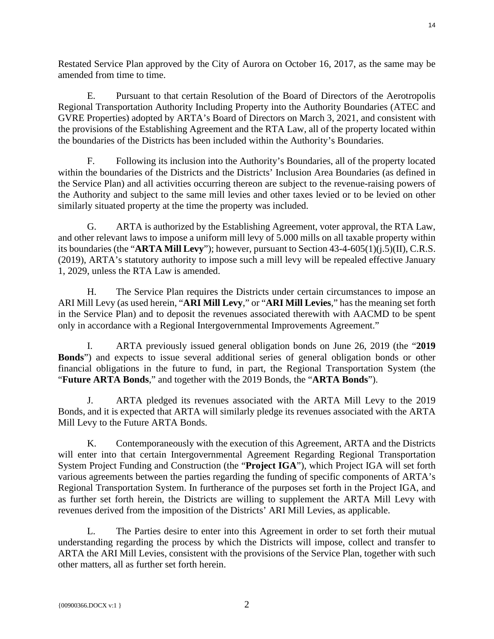Restated Service Plan approved by the City of Aurora on October 16, 2017, as the same may be amended from time to time.

E. Pursuant to that certain Resolution of the Board of Directors of the Aerotropolis Regional Transportation Authority Including Property into the Authority Boundaries (ATEC and GVRE Properties) adopted by ARTA's Board of Directors on March 3, 2021, and consistent with the provisions of the Establishing Agreement and the RTA Law, all of the property located within the boundaries of the Districts has been included within the Authority's Boundaries.

F. Following its inclusion into the Authority's Boundaries, all of the property located within the boundaries of the Districts and the Districts' Inclusion Area Boundaries (as defined in the Service Plan) and all activities occurring thereon are subject to the revenue-raising powers of the Authority and subject to the same mill levies and other taxes levied or to be levied on other similarly situated property at the time the property was included.

G. ARTA is authorized by the Establishing Agreement, voter approval, the RTA Law, and other relevant laws to impose a uniform mill levy of 5.000 mills on all taxable property within its boundaries (the "**ARTA Mill Levy**"); however, pursuant to Section 43-4-605(1)(j.5)(II), C.R.S. (2019), ARTA's statutory authority to impose such a mill levy will be repealed effective January 1, 2029, unless the RTA Law is amended.

H. The Service Plan requires the Districts under certain circumstances to impose an ARI Mill Levy (as used herein, "**ARI Mill Levy**," or "**ARI Mill Levies**," has the meaning set forth in the Service Plan) and to deposit the revenues associated therewith with AACMD to be spent only in accordance with a Regional Intergovernmental Improvements Agreement."

I. ARTA previously issued general obligation bonds on June 26, 2019 (the "**2019 Bonds**") and expects to issue several additional series of general obligation bonds or other financial obligations in the future to fund, in part, the Regional Transportation System (the "**Future ARTA Bonds**," and together with the 2019 Bonds, the "**ARTA Bonds**").

J. ARTA pledged its revenues associated with the ARTA Mill Levy to the 2019 Bonds, and it is expected that ARTA will similarly pledge its revenues associated with the ARTA Mill Levy to the Future ARTA Bonds.

K. Contemporaneously with the execution of this Agreement, ARTA and the Districts will enter into that certain Intergovernmental Agreement Regarding Regional Transportation System Project Funding and Construction (the "**Project IGA**"), which Project IGA will set forth various agreements between the parties regarding the funding of specific components of ARTA's Regional Transportation System. In furtherance of the purposes set forth in the Project IGA, and as further set forth herein, the Districts are willing to supplement the ARTA Mill Levy with revenues derived from the imposition of the Districts' ARI Mill Levies, as applicable.

L. The Parties desire to enter into this Agreement in order to set forth their mutual understanding regarding the process by which the Districts will impose, collect and transfer to ARTA the ARI Mill Levies, consistent with the provisions of the Service Plan, together with such other matters, all as further set forth herein.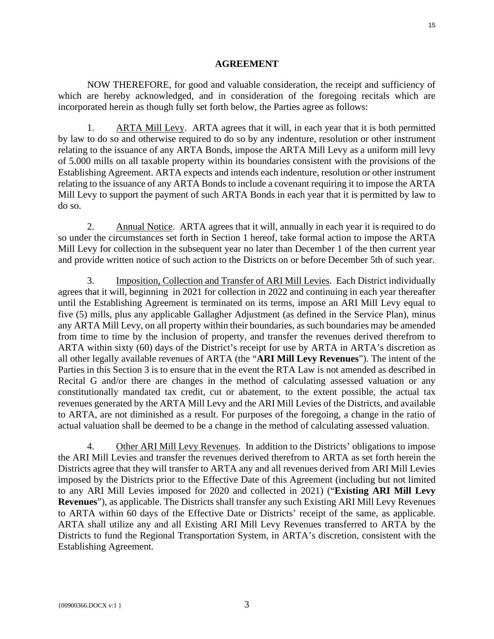#### **AGREEMENT**

NOW THEREFORE, for good and valuable consideration, the receipt and sufficiency of which are hereby acknowledged, and in consideration of the foregoing recitals which are incorporated herein as though fully set forth below, the Parties agree as follows:

1. ARTA Mill Levy. ARTA agrees that it will, in each year that it is both permitted by law to do so and otherwise required to do so by any indenture, resolution or other instrument relating to the issuance of any ARTA Bonds, impose the ARTA Mill Levy as a uniform mill levy of 5.000 mills on all taxable property within its boundaries consistent with the provisions of the Establishing Agreement. ARTA expects and intends each indenture, resolution or other instrument relating to the issuance of any ARTA Bonds to include a covenant requiring it to impose the ARTA Mill Levy to support the payment of such ARTA Bonds in each year that it is permitted by law to do so.

2. Annual Notice. ARTA agrees that it will, annually in each year it is required to do so under the circumstances set forth in Section 1 hereof, take formal action to impose the ARTA Mill Levy for collection in the subsequent year no later than December 1 of the then current year and provide written notice of such action to the Districts on or before December 5th of such year.

3. Imposition, Collection and Transfer of ARI Mill Levies. Each District individually agrees that it will, beginning in 2021 for collection in 2022 and continuing in each year thereafter until the Establishing Agreement is terminated on its terms, impose an ARI Mill Levy equal to five (5) mills, plus any applicable Gallagher Adjustment (as defined in the Service Plan), minus any ARTA Mill Levy, on all property within their boundaries, as such boundaries may be amended from time to time by the inclusion of property, and transfer the revenues derived therefrom to ARTA within sixty (60) days of the District's receipt for use by ARTA in ARTA's discretion as all other legally available revenues of ARTA (the "**ARI Mill Levy Revenues**"). The intent of the Parties in this Section 3 is to ensure that in the event the RTA Law is not amended as described in Recital G and/or there are changes in the method of calculating assessed valuation or any constitutionally mandated tax credit, cut or abatement, to the extent possible, the actual tax revenues generated by the ARTA Mill Levy and the ARI Mill Levies of the Districts, and available to ARTA, are not diminished as a result. For purposes of the foregoing, a change in the ratio of actual valuation shall be deemed to be a change in the method of calculating assessed valuation.

4. Other ARI Mill Levy Revenues. In addition to the Districts' obligations to impose the ARI Mill Levies and transfer the revenues derived therefrom to ARTA as set forth herein the Districts agree that they will transfer to ARTA any and all revenues derived from ARI Mill Levies imposed by the Districts prior to the Effective Date of this Agreement (including but not limited to any ARI Mill Levies imposed for 2020 and collected in 2021) ("**Existing ARI Mill Levy Revenues**"), as applicable. The Districts shall transfer any such Existing ARI Mill Levy Revenues to ARTA within 60 days of the Effective Date or Districts' receipt of the same, as applicable. ARTA shall utilize any and all Existing ARI Mill Levy Revenues transferred to ARTA by the Districts to fund the Regional Transportation System, in ARTA's discretion, consistent with the Establishing Agreement.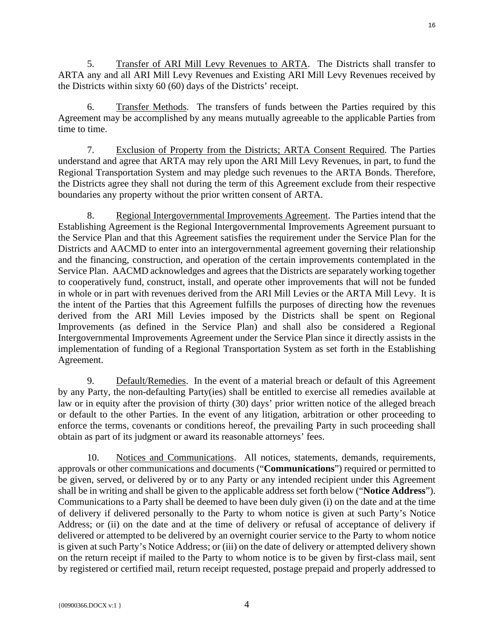5. Transfer of ARI Mill Levy Revenues to ARTA. The Districts shall transfer to ARTA any and all ARI Mill Levy Revenues and Existing ARI Mill Levy Revenues received by the Districts within sixty 60 (60) days of the Districts' receipt.

6. Transfer Methods. The transfers of funds between the Parties required by this Agreement may be accomplished by any means mutually agreeable to the applicable Parties from time to time.

7. Exclusion of Property from the Districts; ARTA Consent Required. The Parties understand and agree that ARTA may rely upon the ARI Mill Levy Revenues, in part, to fund the Regional Transportation System and may pledge such revenues to the ARTA Bonds. Therefore, the Districts agree they shall not during the term of this Agreement exclude from their respective boundaries any property without the prior written consent of ARTA.

8. Regional Intergovernmental Improvements Agreement. The Parties intend that the Establishing Agreement is the Regional Intergovernmental Improvements Agreement pursuant to the Service Plan and that this Agreement satisfies the requirement under the Service Plan for the Districts and AACMD to enter into an intergovernmental agreement governing their relationship and the financing, construction, and operation of the certain improvements contemplated in the Service Plan. AACMD acknowledges and agrees that the Districts are separately working together to cooperatively fund, construct, install, and operate other improvements that will not be funded in whole or in part with revenues derived from the ARI Mill Levies or the ARTA Mill Levy. It is the intent of the Parties that this Agreement fulfills the purposes of directing how the revenues derived from the ARI Mill Levies imposed by the Districts shall be spent on Regional Improvements (as defined in the Service Plan) and shall also be considered a Regional Intergovernmental Improvements Agreement under the Service Plan since it directly assists in the implementation of funding of a Regional Transportation System as set forth in the Establishing Agreement.

9. Default/Remedies. In the event of a material breach or default of this Agreement by any Party, the non-defaulting Party(ies) shall be entitled to exercise all remedies available at law or in equity after the provision of thirty (30) days' prior written notice of the alleged breach or default to the other Parties. In the event of any litigation, arbitration or other proceeding to enforce the terms, covenants or conditions hereof, the prevailing Party in such proceeding shall obtain as part of its judgment or award its reasonable attorneys' fees.

10. Notices and Communications. All notices, statements, demands, requirements, approvals or other communications and documents ("**Communications**") required or permitted to be given, served, or delivered by or to any Party or any intended recipient under this Agreement shall be in writing and shall be given to the applicable address set forth below ("**Notice Address**"). Communications to a Party shall be deemed to have been duly given (i) on the date and at the time of delivery if delivered personally to the Party to whom notice is given at such Party's Notice Address; or (ii) on the date and at the time of delivery or refusal of acceptance of delivery if delivered or attempted to be delivered by an overnight courier service to the Party to whom notice is given at such Party's Notice Address; or (iii) on the date of delivery or attempted delivery shown on the return receipt if mailed to the Party to whom notice is to be given by first-class mail, sent by registered or certified mail, return receipt requested, postage prepaid and properly addressed to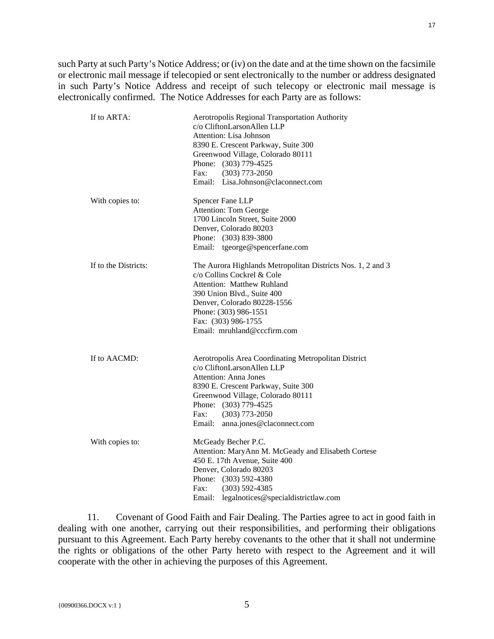such Party at such Party's Notice Address; or (iv) on the date and at the time shown on the facsimile or electronic mail message if telecopied or sent electronically to the number or address designated in such Party's Notice Address and receipt of such telecopy or electronic mail message is electronically confirmed. The Notice Addresses for each Party are as follows:

| If to ARTA:          | Aerotropolis Regional Transportation Authority<br>c/o CliftonLarsonAllen LLP<br>Attention: Lisa Johnson<br>8390 E. Crescent Parkway, Suite 300<br>Greenwood Village, Colorado 80111<br>Phone: (303) 779-4525<br>Fax:<br>$(303)$ 773-2050<br>Email: Lisa.Johnson@claconnect.com          |
|----------------------|-----------------------------------------------------------------------------------------------------------------------------------------------------------------------------------------------------------------------------------------------------------------------------------------|
| With copies to:      | Spencer Fane LLP<br><b>Attention: Tom George</b><br>1700 Lincoln Street, Suite 2000<br>Denver, Colorado 80203<br>Phone: (303) 839-3800<br>Email: tgeorge@spencerfane.com                                                                                                                |
| If to the Districts: | The Aurora Highlands Metropolitan Districts Nos. 1, 2 and 3<br>c/o Collins Cockrel & Cole<br><b>Attention: Matthew Ruhland</b><br>390 Union Blvd., Suite 400<br>Denver, Colorado 80228-1556<br>Phone: (303) 986-1551<br>Fax: (303) 986-1755<br>Email: mruhland@cccfirm.com              |
| If to AACMD:         | Aerotropolis Area Coordinating Metropolitan District<br>c/o CliftonLarsonAllen LLP<br><b>Attention: Anna Jones</b><br>8390 E. Crescent Parkway, Suite 300<br>Greenwood Village, Colorado 80111<br>Phone: (303) 779-4525<br>Fax:<br>$(303)$ 773-2050<br>Email: anna.jones@claconnect.com |
| With copies to:      | McGeady Becher P.C.<br>Attention: MaryAnn M. McGeady and Elisabeth Cortese<br>450 E. 17th Avenue, Suite 400<br>Denver, Colorado 80203<br>Phone: (303) 592-4380<br>Fax:<br>$(303)$ 592-4385<br>Email:<br>legalnotices@specialdistrictlaw.com                                             |

11. Covenant of Good Faith and Fair Dealing. The Parties agree to act in good faith in dealing with one another, carrying out their responsibilities, and performing their obligations pursuant to this Agreement. Each Party hereby covenants to the other that it shall not undermine the rights or obligations of the other Party hereto with respect to the Agreement and it will cooperate with the other in achieving the purposes of this Agreement.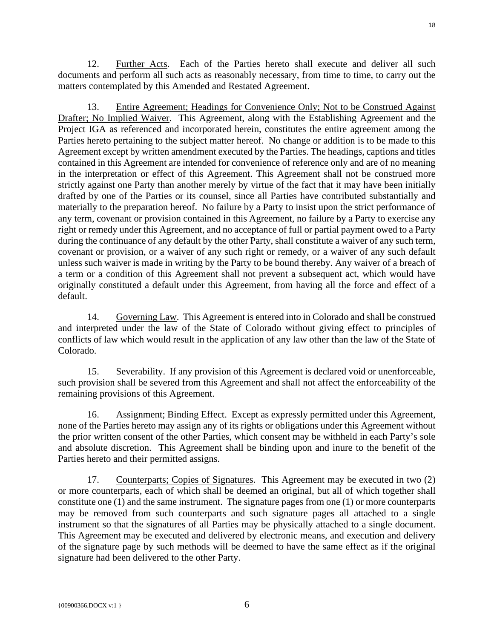12. Further Acts. Each of the Parties hereto shall execute and deliver all such documents and perform all such acts as reasonably necessary, from time to time, to carry out the matters contemplated by this Amended and Restated Agreement.

13. Entire Agreement; Headings for Convenience Only; Not to be Construed Against Drafter; No Implied Waiver. This Agreement, along with the Establishing Agreement and the Project IGA as referenced and incorporated herein, constitutes the entire agreement among the Parties hereto pertaining to the subject matter hereof. No change or addition is to be made to this Agreement except by written amendment executed by the Parties. The headings, captions and titles contained in this Agreement are intended for convenience of reference only and are of no meaning in the interpretation or effect of this Agreement. This Agreement shall not be construed more strictly against one Party than another merely by virtue of the fact that it may have been initially drafted by one of the Parties or its counsel, since all Parties have contributed substantially and materially to the preparation hereof. No failure by a Party to insist upon the strict performance of any term, covenant or provision contained in this Agreement, no failure by a Party to exercise any right or remedy under this Agreement, and no acceptance of full or partial payment owed to a Party during the continuance of any default by the other Party, shall constitute a waiver of any such term, covenant or provision, or a waiver of any such right or remedy, or a waiver of any such default unless such waiver is made in writing by the Party to be bound thereby. Any waiver of a breach of a term or a condition of this Agreement shall not prevent a subsequent act, which would have originally constituted a default under this Agreement, from having all the force and effect of a default.

14. Governing Law. This Agreement is entered into in Colorado and shall be construed and interpreted under the law of the State of Colorado without giving effect to principles of conflicts of law which would result in the application of any law other than the law of the State of Colorado.

15. Severability. If any provision of this Agreement is declared void or unenforceable, such provision shall be severed from this Agreement and shall not affect the enforceability of the remaining provisions of this Agreement.

16. Assignment; Binding Effect. Except as expressly permitted under this Agreement, none of the Parties hereto may assign any of its rights or obligations under this Agreement without the prior written consent of the other Parties, which consent may be withheld in each Party's sole and absolute discretion. This Agreement shall be binding upon and inure to the benefit of the Parties hereto and their permitted assigns.

17. Counterparts; Copies of Signatures. This Agreement may be executed in two (2) or more counterparts, each of which shall be deemed an original, but all of which together shall constitute one (1) and the same instrument. The signature pages from one (1) or more counterparts may be removed from such counterparts and such signature pages all attached to a single instrument so that the signatures of all Parties may be physically attached to a single document. This Agreement may be executed and delivered by electronic means, and execution and delivery of the signature page by such methods will be deemed to have the same effect as if the original signature had been delivered to the other Party.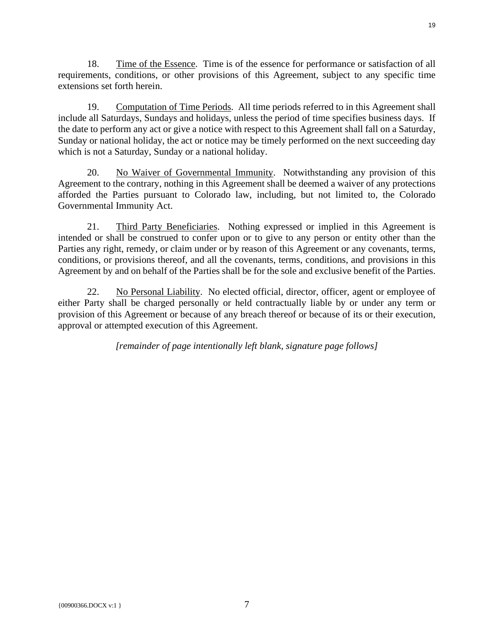18. Time of the Essence. Time is of the essence for performance or satisfaction of all requirements, conditions, or other provisions of this Agreement, subject to any specific time extensions set forth herein.

19. Computation of Time Periods. All time periods referred to in this Agreement shall include all Saturdays, Sundays and holidays, unless the period of time specifies business days. If the date to perform any act or give a notice with respect to this Agreement shall fall on a Saturday, Sunday or national holiday, the act or notice may be timely performed on the next succeeding day which is not a Saturday, Sunday or a national holiday.

20. No Waiver of Governmental Immunity. Notwithstanding any provision of this Agreement to the contrary, nothing in this Agreement shall be deemed a waiver of any protections afforded the Parties pursuant to Colorado law, including, but not limited to, the Colorado Governmental Immunity Act.

21. Third Party Beneficiaries. Nothing expressed or implied in this Agreement is intended or shall be construed to confer upon or to give to any person or entity other than the Parties any right, remedy, or claim under or by reason of this Agreement or any covenants, terms, conditions, or provisions thereof, and all the covenants, terms, conditions, and provisions in this Agreement by and on behalf of the Parties shall be for the sole and exclusive benefit of the Parties.

22. No Personal Liability. No elected official, director, officer, agent or employee of either Party shall be charged personally or held contractually liable by or under any term or provision of this Agreement or because of any breach thereof or because of its or their execution, approval or attempted execution of this Agreement.

*[remainder of page intentionally left blank, signature page follows]*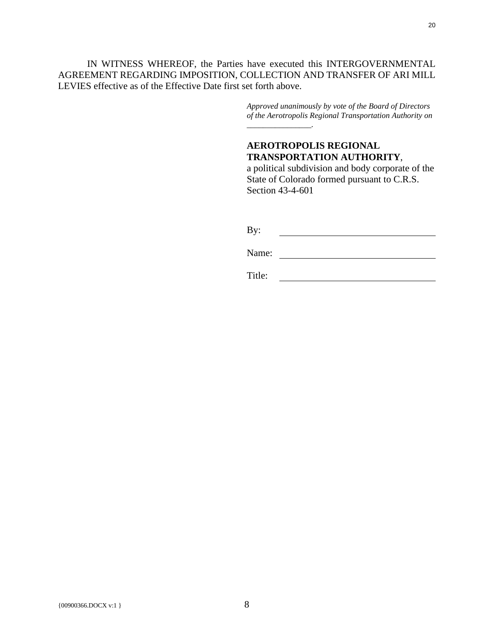IN WITNESS WHEREOF, the Parties have executed this INTERGOVERNMENTAL AGREEMENT REGARDING IMPOSITION, COLLECTION AND TRANSFER OF ARI MILL LEVIES effective as of the Effective Date first set forth above.

> *Approved unanimously by vote of the Board of Directors of the Aerotropolis Regional Transportation Authority on \_\_\_\_\_\_\_\_\_\_\_\_\_\_\_\_.*

# **AEROTROPOLIS REGIONAL TRANSPORTATION AUTHORITY**,

a political subdivision and body corporate of the State of Colorado formed pursuant to C.R.S. Section 43-4-601

| By: |  |
|-----|--|
|     |  |

Name: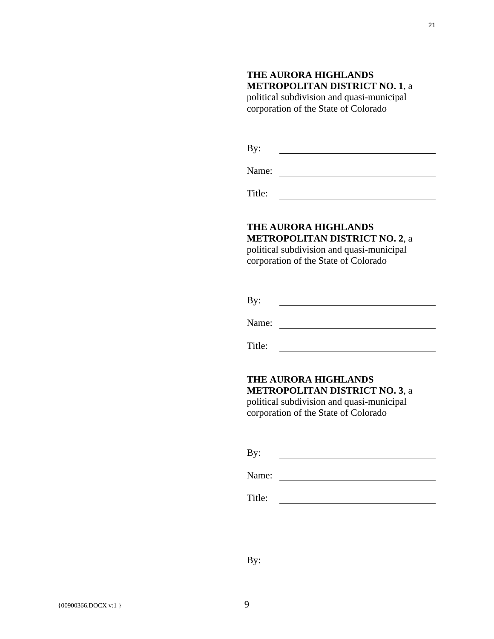# **THE AURORA HIGHLANDS METROPOLITAN DISTRICT NO. 1**, a

political subdivision and quasi-municipal corporation of the State of Colorado

By: <u> 1989 - Johann Barbara, martin a</u>

Name:

Title:

# **THE AURORA HIGHLANDS METROPOLITAN DISTRICT NO. 2**, a

political subdivision and quasi-municipal corporation of the State of Colorado

Name:

Title:

## **THE AURORA HIGHLANDS METROPOLITAN DISTRICT NO. 3**, a political subdivision and quasi-municipal

corporation of the State of Colorado

| By: |  |  |
|-----|--|--|
|     |  |  |

Name:

Title: <u> 1989 - Johann Barbara, martin a</u>

<u> 1980 - Johann Barn, mars ann an t-Amhain Aonaich an t-Aonaich an t-Aonaich ann an t-Aonaich ann an t-Aonaich</u>

By:

21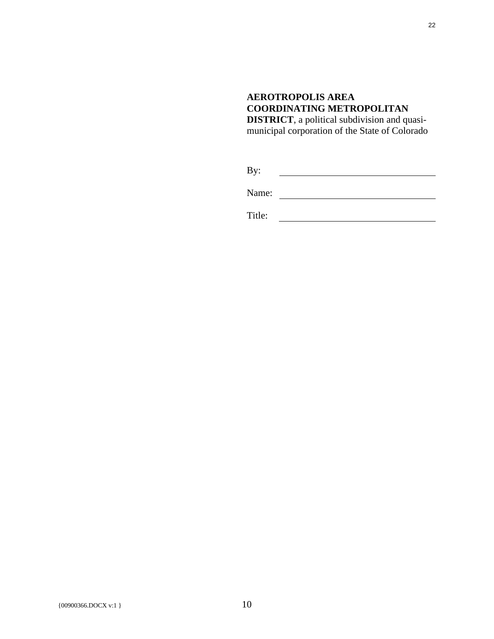# **AEROTROPOLIS AREA COORDINATING METROPOLITAN**

**DISTRICT**, a political subdivision and quasimunicipal corporation of the State of Colorado

By: <u> 1989 - Johann Barbara, martin d</u>

Name: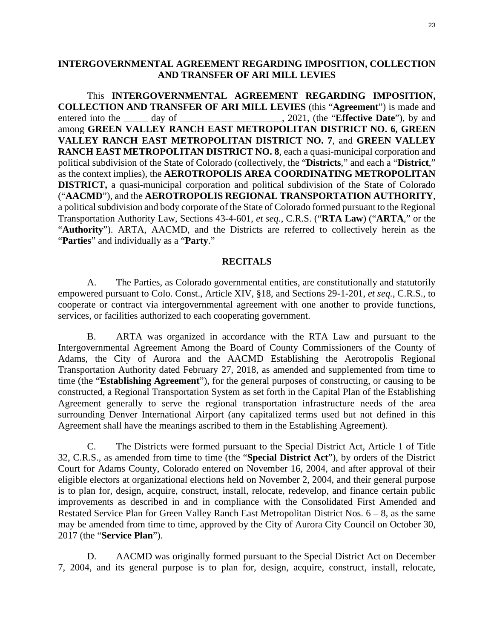## <span id="page-22-0"></span>**INTERGOVERNMENTAL AGREEMENT REGARDING IMPOSITION, COLLECTION AND TRANSFER OF ARI MILL LEVIES**

This **INTERGOVERNMENTAL AGREEMENT REGARDING IMPOSITION, COLLECTION AND TRANSFER OF ARI MILL LEVIES** (this "**Agreement**") is made and entered into the day of day of the state of antiamong **GREEN VALLEY RANCH EAST METROPOLITAN DISTRICT NO. 6, GREEN VALLEY RANCH EAST METROPOLITAN DISTRICT NO. 7**, and **GREEN VALLEY RANCH EAST METROPOLITAN DISTRICT NO. 8**, each a quasi-municipal corporation and political subdivision of the State of Colorado (collectively, the "**Districts**," and each a "**District**," as the context implies), the **AEROTROPOLIS AREA COORDINATING METROPOLITAN DISTRICT,** a quasi-municipal corporation and political subdivision of the State of Colorado ("**AACMD**"), and the **AEROTROPOLIS REGIONAL TRANSPORTATION AUTHORITY**, a political subdivision and body corporate of the State of Colorado formed pursuant to the Regional Transportation Authority Law, Sections 43-4-601, *et seq*., C.R.S. ("**RTA Law**) ("**ARTA**," or the "**Authority**"). ARTA, AACMD, and the Districts are referred to collectively herein as the "**Parties**" and individually as a "**Party**."

#### **RECITALS**

A. The Parties, as Colorado governmental entities, are constitutionally and statutorily empowered pursuant to Colo. Const., Article XIV, §18, and Sections 29-1-201, *et seq.*, C.R.S., to cooperate or contract via intergovernmental agreement with one another to provide functions, services, or facilities authorized to each cooperating government.

B. ARTA was organized in accordance with the RTA Law and pursuant to the Intergovernmental Agreement Among the Board of County Commissioners of the County of Adams, the City of Aurora and the AACMD Establishing the Aerotropolis Regional Transportation Authority dated February 27, 2018, as amended and supplemented from time to time (the "**Establishing Agreement**"), for the general purposes of constructing, or causing to be constructed, a Regional Transportation System as set forth in the Capital Plan of the Establishing Agreement generally to serve the regional transportation infrastructure needs of the area surrounding Denver International Airport (any capitalized terms used but not defined in this Agreement shall have the meanings ascribed to them in the Establishing Agreement).

C. The Districts were formed pursuant to the Special District Act, Article 1 of Title 32, C.R.S., as amended from time to time (the "**Special District Act**"), by orders of the District Court for Adams County, Colorado entered on November 16, 2004, and after approval of their eligible electors at organizational elections held on November 2, 2004, and their general purpose is to plan for, design, acquire, construct, install, relocate, redevelop, and finance certain public improvements as described in and in compliance with the Consolidated First Amended and Restated Service Plan for Green Valley Ranch East Metropolitan District Nos. 6 – 8, as the same may be amended from time to time, approved by the City of Aurora City Council on October 30, 2017 (the "**Service Plan**").

D. AACMD was originally formed pursuant to the Special District Act on December 7, 2004, and its general purpose is to plan for, design, acquire, construct, install, relocate,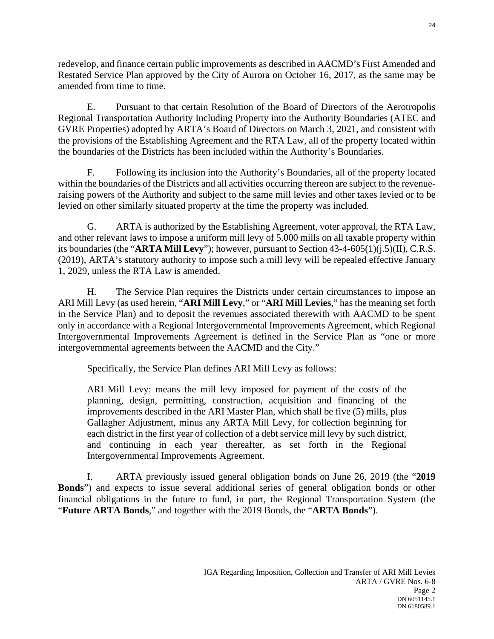redevelop, and finance certain public improvements as described in AACMD's First Amended and Restated Service Plan approved by the City of Aurora on October 16, 2017, as the same may be amended from time to time.

E. Pursuant to that certain Resolution of the Board of Directors of the Aerotropolis Regional Transportation Authority Including Property into the Authority Boundaries (ATEC and GVRE Properties) adopted by ARTA's Board of Directors on March 3, 2021, and consistent with the provisions of the Establishing Agreement and the RTA Law, all of the property located within the boundaries of the Districts has been included within the Authority's Boundaries.

F. Following its inclusion into the Authority's Boundaries, all of the property located within the boundaries of the Districts and all activities occurring thereon are subject to the revenueraising powers of the Authority and subject to the same mill levies and other taxes levied or to be levied on other similarly situated property at the time the property was included.

G. ARTA is authorized by the Establishing Agreement, voter approval, the RTA Law, and other relevant laws to impose a uniform mill levy of 5.000 mills on all taxable property within its boundaries (the "**ARTA Mill Levy**"); however, pursuant to Section 43-4-605(1)(j.5)(II), C.R.S. (2019), ARTA's statutory authority to impose such a mill levy will be repealed effective January 1, 2029, unless the RTA Law is amended.

H. The Service Plan requires the Districts under certain circumstances to impose an ARI Mill Levy (as used herein, "**ARI Mill Levy**," or "**ARI Mill Levies**," has the meaning set forth in the Service Plan) and to deposit the revenues associated therewith with AACMD to be spent only in accordance with a Regional Intergovernmental Improvements Agreement, which Regional Intergovernmental Improvements Agreement is defined in the Service Plan as "one or more intergovernmental agreements between the AACMD and the City."

Specifically, the Service Plan defines ARI Mill Levy as follows:

ARI Mill Levy: means the mill levy imposed for payment of the costs of the planning, design, permitting, construction, acquisition and financing of the improvements described in the ARI Master Plan, which shall be five (5) mills, plus Gallagher Adjustment, minus any ARTA Mill Levy, for collection beginning for each district in the first year of collection of a debt service mill levy by such district, and continuing in each year thereafter, as set forth in the Regional Intergovernmental Improvements Agreement.

I. ARTA previously issued general obligation bonds on June 26, 2019 (the "**2019 Bonds**") and expects to issue several additional series of general obligation bonds or other financial obligations in the future to fund, in part, the Regional Transportation System (the "**Future ARTA Bonds**," and together with the 2019 Bonds, the "**ARTA Bonds**").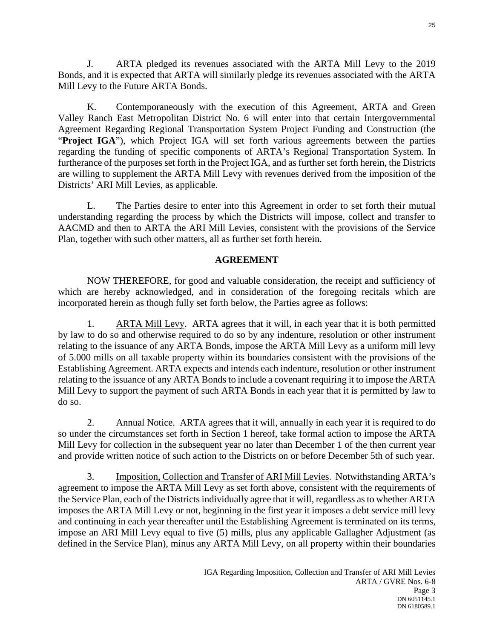J. ARTA pledged its revenues associated with the ARTA Mill Levy to the 2019 Bonds, and it is expected that ARTA will similarly pledge its revenues associated with the ARTA Mill Levy to the Future ARTA Bonds.

K. Contemporaneously with the execution of this Agreement, ARTA and Green Valley Ranch East Metropolitan District No. 6 will enter into that certain Intergovernmental Agreement Regarding Regional Transportation System Project Funding and Construction (the "Project IGA"), which Project IGA will set forth various agreements between the parties regarding the funding of specific components of ARTA's Regional Transportation System. In furtherance of the purposes set forth in the Project IGA, and as further set forth herein, the Districts are willing to supplement the ARTA Mill Levy with revenues derived from the imposition of the Districts' ARI Mill Levies, as applicable.

L. The Parties desire to enter into this Agreement in order to set forth their mutual understanding regarding the process by which the Districts will impose, collect and transfer to AACMD and then to ARTA the ARI Mill Levies, consistent with the provisions of the Service Plan, together with such other matters, all as further set forth herein.

# **AGREEMENT**

NOW THEREFORE, for good and valuable consideration, the receipt and sufficiency of which are hereby acknowledged, and in consideration of the foregoing recitals which are incorporated herein as though fully set forth below, the Parties agree as follows:

1. ARTA Mill Levy. ARTA agrees that it will, in each year that it is both permitted by law to do so and otherwise required to do so by any indenture, resolution or other instrument relating to the issuance of any ARTA Bonds, impose the ARTA Mill Levy as a uniform mill levy of 5.000 mills on all taxable property within its boundaries consistent with the provisions of the Establishing Agreement. ARTA expects and intends each indenture, resolution or other instrument relating to the issuance of any ARTA Bonds to include a covenant requiring it to impose the ARTA Mill Levy to support the payment of such ARTA Bonds in each year that it is permitted by law to do so.

2. Annual Notice. ARTA agrees that it will, annually in each year it is required to do so under the circumstances set forth in Section 1 hereof, take formal action to impose the ARTA Mill Levy for collection in the subsequent year no later than December 1 of the then current year and provide written notice of such action to the Districts on or before December 5th of such year.

3. Imposition, Collection and Transfer of ARI Mill Levies. Notwithstanding ARTA's agreement to impose the ARTA Mill Levy as set forth above, consistent with the requirements of the Service Plan, each of the Districts individually agree that it will, regardless as to whether ARTA imposes the ARTA Mill Levy or not, beginning in the first year it imposes a debt service mill levy and continuing in each year thereafter until the Establishing Agreement is terminated on its terms, impose an ARI Mill Levy equal to five (5) mills, plus any applicable Gallagher Adjustment (as defined in the Service Plan), minus any ARTA Mill Levy, on all property within their boundaries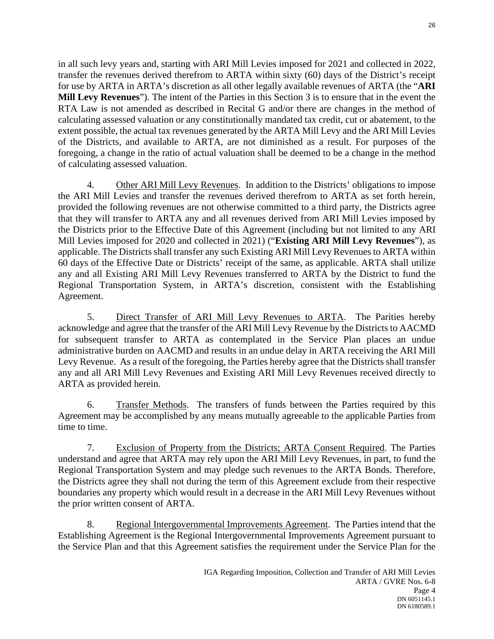in all such levy years and, starting with ARI Mill Levies imposed for 2021 and collected in 2022, transfer the revenues derived therefrom to ARTA within sixty (60) days of the District's receipt for use by ARTA in ARTA's discretion as all other legally available revenues of ARTA (the "**ARI Mill Levy Revenues**"). The intent of the Parties in this Section 3 is to ensure that in the event the RTA Law is not amended as described in Recital G and/or there are changes in the method of calculating assessed valuation or any constitutionally mandated tax credit, cut or abatement, to the extent possible, the actual tax revenues generated by the ARTA Mill Levy and the ARI Mill Levies of the Districts, and available to ARTA, are not diminished as a result. For purposes of the foregoing, a change in the ratio of actual valuation shall be deemed to be a change in the method of calculating assessed valuation.

4. Other ARI Mill Levy Revenues. In addition to the Districts' obligations to impose the ARI Mill Levies and transfer the revenues derived therefrom to ARTA as set forth herein, provided the following revenues are not otherwise committed to a third party, the Districts agree that they will transfer to ARTA any and all revenues derived from ARI Mill Levies imposed by the Districts prior to the Effective Date of this Agreement (including but not limited to any ARI Mill Levies imposed for 2020 and collected in 2021) ("**Existing ARI Mill Levy Revenues**"), as applicable. The Districts shall transfer any such Existing ARI Mill Levy Revenues to ARTA within 60 days of the Effective Date or Districts' receipt of the same, as applicable. ARTA shall utilize any and all Existing ARI Mill Levy Revenues transferred to ARTA by the District to fund the Regional Transportation System, in ARTA's discretion, consistent with the Establishing Agreement.

5. Direct Transfer of ARI Mill Levy Revenues to ARTA. The Parities hereby acknowledge and agree that the transfer of the ARI Mill Levy Revenue by the Districts to AACMD for subsequent transfer to ARTA as contemplated in the Service Plan places an undue administrative burden on AACMD and results in an undue delay in ARTA receiving the ARI Mill Levy Revenue. As a result of the foregoing, the Parties hereby agree that the Districts shall transfer any and all ARI Mill Levy Revenues and Existing ARI Mill Levy Revenues received directly to ARTA as provided herein.

6. Transfer Methods. The transfers of funds between the Parties required by this Agreement may be accomplished by any means mutually agreeable to the applicable Parties from time to time.

7. Exclusion of Property from the Districts; ARTA Consent Required. The Parties understand and agree that ARTA may rely upon the ARI Mill Levy Revenues, in part, to fund the Regional Transportation System and may pledge such revenues to the ARTA Bonds. Therefore, the Districts agree they shall not during the term of this Agreement exclude from their respective boundaries any property which would result in a decrease in the ARI Mill Levy Revenues without the prior written consent of ARTA.

8. Regional Intergovernmental Improvements Agreement. The Parties intend that the Establishing Agreement is the Regional Intergovernmental Improvements Agreement pursuant to the Service Plan and that this Agreement satisfies the requirement under the Service Plan for the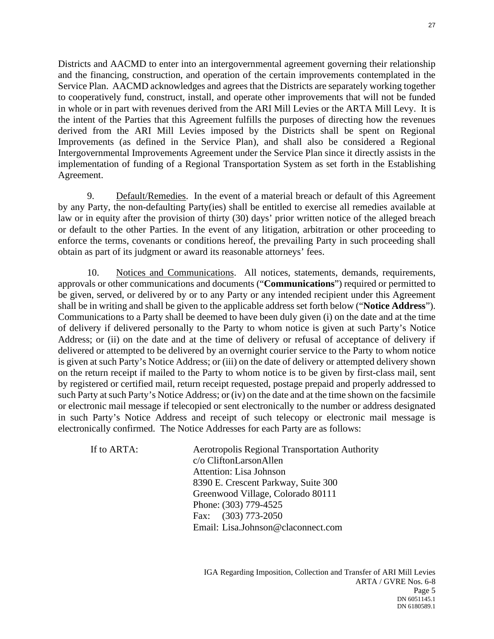Districts and AACMD to enter into an intergovernmental agreement governing their relationship and the financing, construction, and operation of the certain improvements contemplated in the Service Plan. AACMD acknowledges and agrees that the Districts are separately working together to cooperatively fund, construct, install, and operate other improvements that will not be funded in whole or in part with revenues derived from the ARI Mill Levies or the ARTA Mill Levy. It is the intent of the Parties that this Agreement fulfills the purposes of directing how the revenues derived from the ARI Mill Levies imposed by the Districts shall be spent on Regional Improvements (as defined in the Service Plan), and shall also be considered a Regional Intergovernmental Improvements Agreement under the Service Plan since it directly assists in the implementation of funding of a Regional Transportation System as set forth in the Establishing Agreement.

9. Default/Remedies. In the event of a material breach or default of this Agreement by any Party, the non-defaulting Party(ies) shall be entitled to exercise all remedies available at law or in equity after the provision of thirty (30) days' prior written notice of the alleged breach or default to the other Parties. In the event of any litigation, arbitration or other proceeding to enforce the terms, covenants or conditions hereof, the prevailing Party in such proceeding shall obtain as part of its judgment or award its reasonable attorneys' fees.

10. Notices and Communications. All notices, statements, demands, requirements, approvals or other communications and documents ("**Communications**") required or permitted to be given, served, or delivered by or to any Party or any intended recipient under this Agreement shall be in writing and shall be given to the applicable address set forth below ("**Notice Address**"). Communications to a Party shall be deemed to have been duly given (i) on the date and at the time of delivery if delivered personally to the Party to whom notice is given at such Party's Notice Address; or (ii) on the date and at the time of delivery or refusal of acceptance of delivery if delivered or attempted to be delivered by an overnight courier service to the Party to whom notice is given at such Party's Notice Address; or (iii) on the date of delivery or attempted delivery shown on the return receipt if mailed to the Party to whom notice is to be given by first-class mail, sent by registered or certified mail, return receipt requested, postage prepaid and properly addressed to such Party at such Party's Notice Address; or (iv) on the date and at the time shown on the facsimile or electronic mail message if telecopied or sent electronically to the number or address designated in such Party's Notice Address and receipt of such telecopy or electronic mail message is electronically confirmed. The Notice Addresses for each Party are as follows:

If to ARTA: Aerotropolis Regional Transportation Authority c/o CliftonLarsonAllen Attention: Lisa Johnson 8390 E. Crescent Parkway, Suite 300 Greenwood Village, Colorado 80111 Phone: (303) 779-4525 Fax: (303) 773-2050 Email: Lisa.Johnson@claconnect.com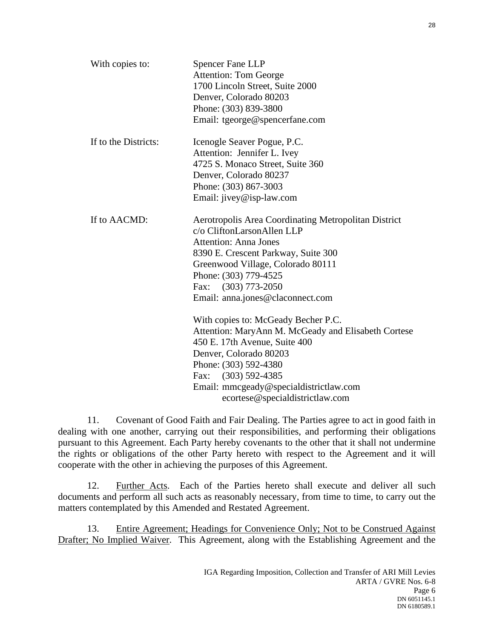| With copies to:      | <b>Spencer Fane LLP</b><br><b>Attention: Tom George</b><br>1700 Lincoln Street, Suite 2000<br>Denver, Colorado 80203<br>Phone: (303) 839-3800<br>Email: tgeorge@spencerfane.com                                                                                                                                                                                                                                                                                                             |
|----------------------|---------------------------------------------------------------------------------------------------------------------------------------------------------------------------------------------------------------------------------------------------------------------------------------------------------------------------------------------------------------------------------------------------------------------------------------------------------------------------------------------|
| If to the Districts: | Icenogle Seaver Pogue, P.C.<br>Attention: Jennifer L. Ivey<br>4725 S. Monaco Street, Suite 360<br>Denver, Colorado 80237<br>Phone: (303) 867-3003<br>Email: jivey@isp-law.com                                                                                                                                                                                                                                                                                                               |
| If to AACMD:         | Aerotropolis Area Coordinating Metropolitan District<br>c/o CliftonLarsonAllen LLP<br><b>Attention: Anna Jones</b><br>8390 E. Crescent Parkway, Suite 300<br>Greenwood Village, Colorado 80111<br>Phone: (303) 779-4525<br>Fax: (303) 773-2050<br>Email: anna.jones@claconnect.com<br>With copies to: McGeady Becher P.C.<br>Attention: MaryAnn M. McGeady and Elisabeth Cortese<br>450 E. 17th Avenue, Suite 400<br>Denver, Colorado 80203<br>Phone: (303) 592-4380<br>Fax: (303) 592-4385 |
|                      | Email: mmcgeady@specialdistrictlaw.com<br>ecortese@specialdistrictlaw.com                                                                                                                                                                                                                                                                                                                                                                                                                   |

11. Covenant of Good Faith and Fair Dealing. The Parties agree to act in good faith in dealing with one another, carrying out their responsibilities, and performing their obligations pursuant to this Agreement. Each Party hereby covenants to the other that it shall not undermine the rights or obligations of the other Party hereto with respect to the Agreement and it will cooperate with the other in achieving the purposes of this Agreement.

12. Further Acts. Each of the Parties hereto shall execute and deliver all such documents and perform all such acts as reasonably necessary, from time to time, to carry out the matters contemplated by this Amended and Restated Agreement.

13. Entire Agreement; Headings for Convenience Only; Not to be Construed Against Drafter; No Implied Waiver. This Agreement, along with the Establishing Agreement and the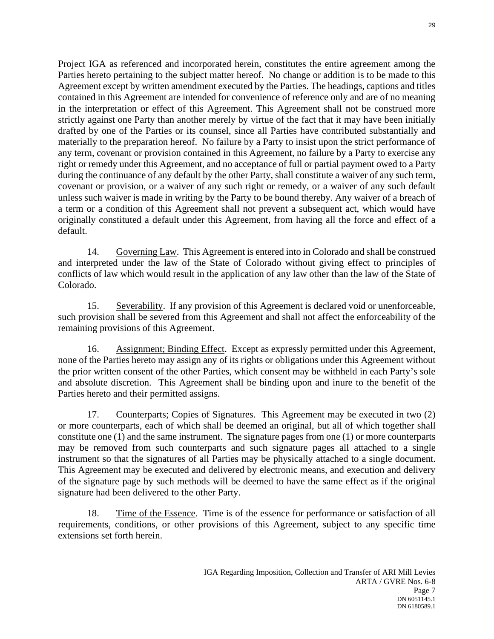Project IGA as referenced and incorporated herein, constitutes the entire agreement among the Parties hereto pertaining to the subject matter hereof. No change or addition is to be made to this Agreement except by written amendment executed by the Parties. The headings, captions and titles contained in this Agreement are intended for convenience of reference only and are of no meaning in the interpretation or effect of this Agreement. This Agreement shall not be construed more strictly against one Party than another merely by virtue of the fact that it may have been initially drafted by one of the Parties or its counsel, since all Parties have contributed substantially and materially to the preparation hereof. No failure by a Party to insist upon the strict performance of any term, covenant or provision contained in this Agreement, no failure by a Party to exercise any right or remedy under this Agreement, and no acceptance of full or partial payment owed to a Party during the continuance of any default by the other Party, shall constitute a waiver of any such term, covenant or provision, or a waiver of any such right or remedy, or a waiver of any such default unless such waiver is made in writing by the Party to be bound thereby. Any waiver of a breach of a term or a condition of this Agreement shall not prevent a subsequent act, which would have originally constituted a default under this Agreement, from having all the force and effect of a default.

14. Governing Law. This Agreement is entered into in Colorado and shall be construed and interpreted under the law of the State of Colorado without giving effect to principles of conflicts of law which would result in the application of any law other than the law of the State of Colorado.

15. Severability. If any provision of this Agreement is declared void or unenforceable, such provision shall be severed from this Agreement and shall not affect the enforceability of the remaining provisions of this Agreement.

16. Assignment; Binding Effect. Except as expressly permitted under this Agreement, none of the Parties hereto may assign any of its rights or obligations under this Agreement without the prior written consent of the other Parties, which consent may be withheld in each Party's sole and absolute discretion. This Agreement shall be binding upon and inure to the benefit of the Parties hereto and their permitted assigns.

17. Counterparts; Copies of Signatures. This Agreement may be executed in two (2) or more counterparts, each of which shall be deemed an original, but all of which together shall constitute one (1) and the same instrument. The signature pages from one (1) or more counterparts may be removed from such counterparts and such signature pages all attached to a single instrument so that the signatures of all Parties may be physically attached to a single document. This Agreement may be executed and delivered by electronic means, and execution and delivery of the signature page by such methods will be deemed to have the same effect as if the original signature had been delivered to the other Party.

18. Time of the Essence. Time is of the essence for performance or satisfaction of all requirements, conditions, or other provisions of this Agreement, subject to any specific time extensions set forth herein.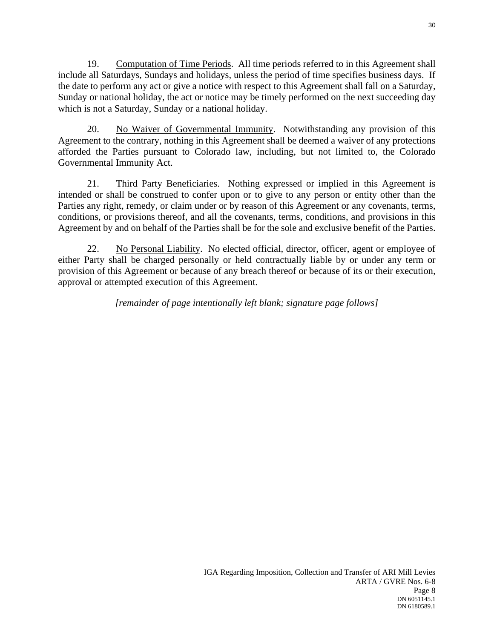19. Computation of Time Periods. All time periods referred to in this Agreement shall include all Saturdays, Sundays and holidays, unless the period of time specifies business days. If the date to perform any act or give a notice with respect to this Agreement shall fall on a Saturday, Sunday or national holiday, the act or notice may be timely performed on the next succeeding day which is not a Saturday, Sunday or a national holiday.

20. No Waiver of Governmental Immunity. Notwithstanding any provision of this Agreement to the contrary, nothing in this Agreement shall be deemed a waiver of any protections afforded the Parties pursuant to Colorado law, including, but not limited to, the Colorado Governmental Immunity Act.

21. Third Party Beneficiaries. Nothing expressed or implied in this Agreement is intended or shall be construed to confer upon or to give to any person or entity other than the Parties any right, remedy, or claim under or by reason of this Agreement or any covenants, terms, conditions, or provisions thereof, and all the covenants, terms, conditions, and provisions in this Agreement by and on behalf of the Parties shall be for the sole and exclusive benefit of the Parties.

22. No Personal Liability. No elected official, director, officer, agent or employee of either Party shall be charged personally or held contractually liable by or under any term or provision of this Agreement or because of any breach thereof or because of its or their execution, approval or attempted execution of this Agreement.

*[remainder of page intentionally left blank; signature page follows]*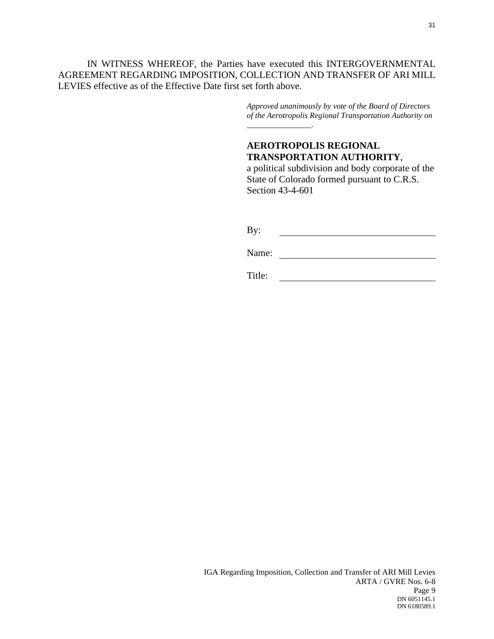IN WITNESS WHEREOF, the Parties have executed this INTERGOVERNMENTAL AGREEMENT REGARDING IMPOSITION, COLLECTION AND TRANSFER OF ARI MILL LEVIES effective as of the Effective Date first set forth above.

> *Approved unanimously by vote of the Board of Directors of the Aerotropolis Regional Transportation Authority on \_\_\_\_\_\_\_\_\_\_\_\_\_\_\_\_.*

# **AEROTROPOLIS REGIONAL TRANSPORTATION AUTHORITY**,

a political subdivision and body corporate of the State of Colorado formed pursuant to C.R.S. Section 43-4-601

By: <u> 1980 - Johann Barbara, martxa alemaniar a</u>

Name: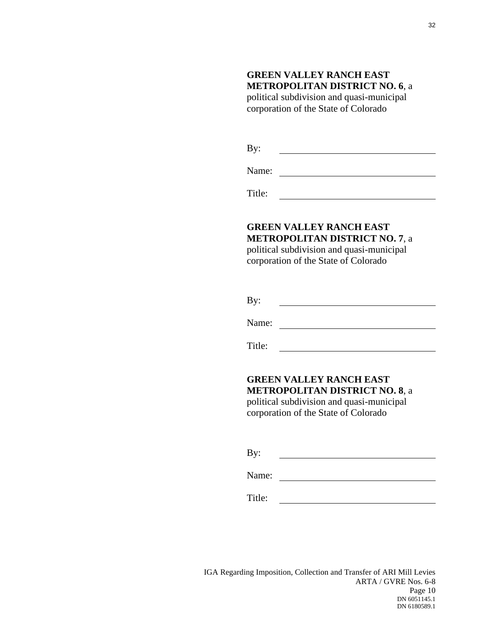# **GREEN VALLEY RANCH EAST METROPOLITAN DISTRICT NO. 6**, a

political subdivision and quasi-municipal corporation of the State of Colorado

By: 

Name:

Title: <u>and the state of the state of the state of the state of the state of the state of the state of the state of the state of the state of the state of the state of the state of the state of the state of the state of the state</u>

# **GREEN VALLEY RANCH EAST METROPOLITAN DISTRICT NO. 7**, a

political subdivision and quasi-municipal corporation of the State of Colorado

| By: |  |  |
|-----|--|--|
|     |  |  |

Name: 2008. 2009. 2009. 2009. 2009. 2009. 2009. 2009. 2009. 2009. 2009. 2009. 2009. 2009. 2009. 2009. 2009. 20<br>2010. 2012. 2013. 2014. 2015. 2016. 2016. 2016. 2016. 2016. 2016. 2016. 2016. 2016. 2016. 2016. 2016. 2016. 20<br>

Title:

## **GREEN VALLEY RANCH EAST METROPOLITAN DISTRICT NO. 8**, a political subdivision and quasi-municipal

corporation of the State of Colorado

By: 

Name: